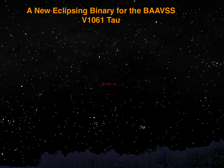# A New Eclipsing Binary for the BAAVSS V1061 Tau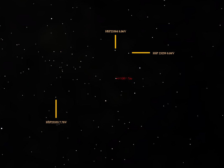# HIP23384 8.06V HIP 23259 8.04V

 $\blacksquare$ 

HIP23333 $7.78\mathrm{V}$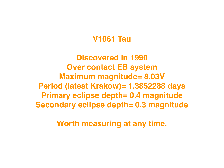#### **V1061 Tau**

**Discovered in 1990 Over contact EB system Maximum magnitude= 8.03V Period (latest Krakow)= 1.3852288 days Primary eclipse depth= 0.4 magnitude Secondary eclipse depth= 0.3 magnitude**

**Worth measuring at any time.**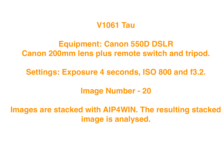#### **V1061 Tau**

## **Equipment: Canon 550D DSLR Canon 200mm lens plus remote switch and tripod.**

## **Settings: Exposure 4 seconds, ISO 800 and f3.2.**

**Image Number - 20**

**Images are stacked with AIP4WIN. The resulting stacked image is analysed.**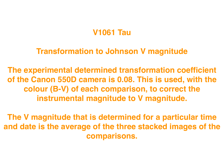## **V1061 Tau**

#### **Transformation to Johnson V magnitude**

**The experimental determined transformation coefficient of the Canon 550D camera is 0.08. This is used, with the colour (B-V) of each comparison, to correct the instrumental magnitude to V magnitude.**

**The V magnitude that is determined for a particular time and date is the average of the three stacked images of the comparisons.**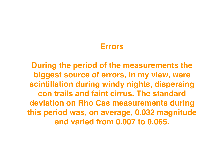#### **Errors**

**During the period of the measurements the biggest source of errors, in my view, were scintillation during windy nights, dispersing con trails and faint cirrus. The standard deviation on Rho Cas measurements during this period was, on average, 0.032 magnitude and varied from 0.007 to 0.065.**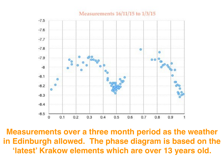



**Measurements over a three month period as the weather in Edinburgh allowed. The phase diagram is based on the 'latest' Krakow elements which are over 13 years old.**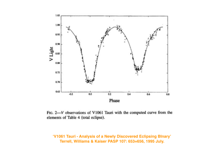

FIG.  $2 - V$  observations of V1061 Tauri with the computed curve from the elements of Table 4 (total eclipse).

**'V1061 Tauri - Analysis of a Newly Discovered Eclipsing BInary' Terrell, Williams & Kaiser PASP 107: 653=656, 1995 July.**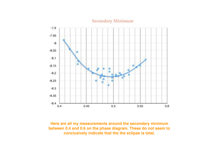

#### **Secondary Minimum**

**Here are all my measurements around the secondary minimum between 0.4 and 0.6 on the phase diagram. These do not seem to conclusively indicate that the the eclipse is total.**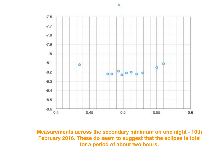

**Measurements across the secondary minimum on one night - 10th February 2016. These do seem to suggest that the eclipse is total for a period of about two hours.**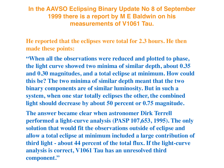#### **In the AAVSO Eclipsing Binary Update No 8 of September 1999 there is a report by M E Baldwin on his measurements of V1061 Tau.**

**He reported that the eclipses were total for 2.3 hours. He then made these points:**

**"When all the observations were reduced and plotted to phase, the light curve showed two minima of similar depth, about 0.35 and 0.30 magnitudes, and a total eclipse at minimum. How could this be? The two minima of similar depth meant that the two binary components are of similar luminosity. But in such a system, when one star totally eclipses the other, the combined light should decrease by about 50 percent or 0.75 magnitude.** 

**The answer became clear when astronomer Dirk Terrell performed a light-curve analysis (PASP 107,653, 1995). The only solution that would fit the observations outside of eclipse and allow a total eclipse at minimum included a large contribution of third light - about 44 percent of the total flux. If the light-curve analysis is correct, V1061 Tau has an unresolved third component."**